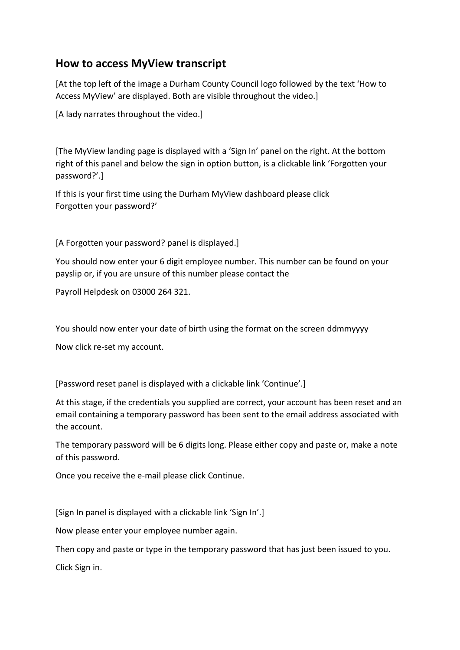## **How to access MyView transcript**

[At the top left of the image a Durham County Council logo followed by the text 'How to Access MyView' are displayed. Both are visible throughout the video.]

[A lady narrates throughout the video.]

[The MyView landing page is displayed with a 'Sign In' panel on the right. At the bottom right of this panel and below the sign in option button, is a clickable link '[Forgotten your](https://myviewn.durham.gov.uk/dashboardsalaries/dashboard-ui/index.html#/landing/forgotten)  [password?](https://myviewn.durham.gov.uk/dashboardsalaries/dashboard-ui/index.html#/landing/forgotten)'.]

If this is your first time using the Durham MyView dashboard please click Forgotten your password?'

[A Forgotten your password? panel is displayed.]

You should now enter your 6 digit employee number. This number can be found on your payslip or, if you are unsure of this number please contact the

Payroll Helpdesk on 03000 264 321.

You should now enter your date of birth using the format on the screen ddmmyyyy

Now click re‐set my account.

[Password reset panel is displayed with a clickable link 'Continue'.]

At this stage, if the credentials you supplied are correct, your account has been reset and an email containing a temporary password has been sent to the email address associated with the account.

The temporary password will be 6 digits long. Please either copy and paste or, make a note of this password.

Once you receive the e‐mail please click Continue.

[Sign In panel is displayed with a clickable link 'Sign In'.]

Now please enter your employee number again.

Then copy and paste or type in the temporary password that has just been issued to you.

Click Sign in.